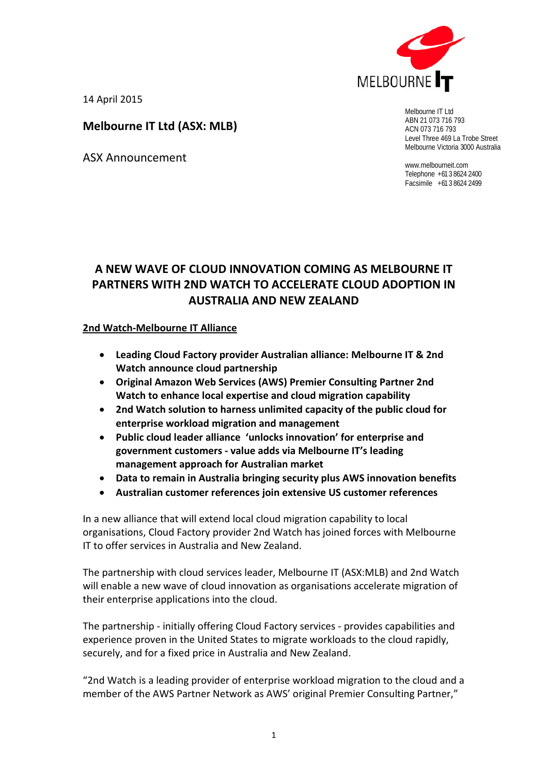

14 April 2015

# **Melbourne IT Ltd (ASX: MLB)**

ASX Announcement

Melbourne IT Ltd ABN 21 073 716 793 ACN 073 716 793 Level Three 469 La Trobe Street Melbourne Victoria 3000 Australia

www.melbourneit.com Telephone +61 3 8624 2400 Facsimile +61 3 8624 2499

# **A NEW WAVE OF CLOUD INNOVATION COMING AS MELBOURNE IT PARTNERS WITH 2ND WATCH TO ACCELERATE CLOUD ADOPTION IN AUSTRALIA AND NEW ZEALAND**

## **2nd Watch-Melbourne IT Alliance**

- **Leading Cloud Factory provider Australian alliance: Melbourne IT & 2nd Watch announce cloud partnership**
- **Original Amazon Web Services (AWS) Premier Consulting Partner 2nd Watch to enhance local expertise and cloud migration capability**
- **2nd Watch solution to harness unlimited capacity of the public cloud for enterprise workload migration and management**
- **Public cloud leader alliance 'unlocks innovation' for enterprise and government customers - value adds via Melbourne IT's leading management approach for Australian market**
- **Data to remain in Australia bringing security plus AWS innovation benefits**
- **Australian customer references join extensive US customer references**

In a new alliance that will extend local cloud migration capability to local organisations, Cloud Factory provider 2nd Watch has joined forces with Melbourne IT to offer services in Australia and New Zealand.

The partnership with cloud services leader, Melbourne IT (ASX:MLB) and 2nd Watch will enable a new wave of cloud innovation as organisations accelerate migration of their enterprise applications into the cloud.

The partnership - initially offering Cloud Factory services - provides capabilities and experience proven in the United States to migrate workloads to the cloud rapidly, securely, and for a fixed price in Australia and New Zealand.

"2nd Watch is a leading provider of enterprise workload migration to the cloud and a member of the AWS Partner Network as AWS' original Premier Consulting Partner,"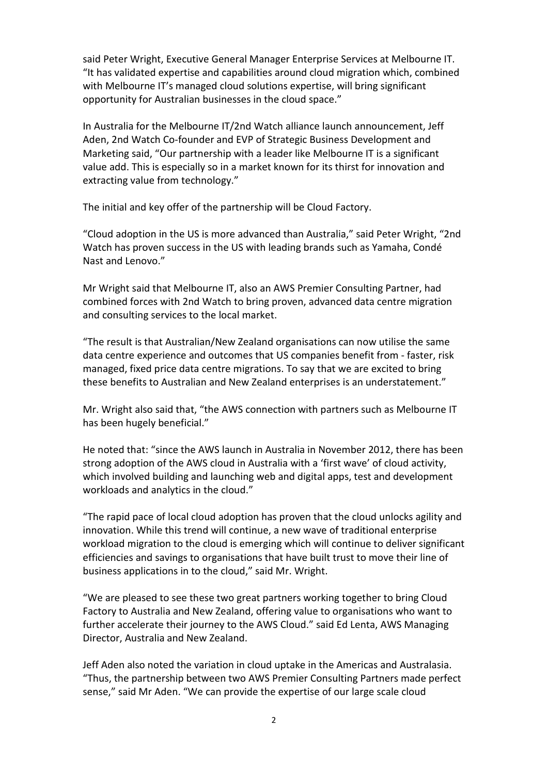said Peter Wright, Executive General Manager Enterprise Services at Melbourne IT. "It has validated expertise and capabilities around cloud migration which, combined with Melbourne IT's managed cloud solutions expertise, will bring significant opportunity for Australian businesses in the cloud space."

In Australia for the Melbourne IT/2nd Watch alliance launch announcement, Jeff Aden, 2nd Watch Co-founder and EVP of Strategic Business Development and Marketing said, "Our partnership with a leader like Melbourne IT is a significant value add. This is especially so in a market known for its thirst for innovation and extracting value from technology."

The initial and key offer of the partnership will be Cloud Factory.

"Cloud adoption in the US is more advanced than Australia," said Peter Wright, "2nd Watch has proven success in the US with leading brands such as Yamaha, Condé Nast and Lenovo."

Mr Wright said that Melbourne IT, also an AWS Premier Consulting Partner, had combined forces with 2nd Watch to bring proven, advanced data centre migration and consulting services to the local market.

"The result is that Australian/New Zealand organisations can now utilise the same data centre experience and outcomes that US companies benefit from - faster, risk managed, fixed price data centre migrations. To say that we are excited to bring these benefits to Australian and New Zealand enterprises is an understatement."

Mr. Wright also said that, "the AWS connection with partners such as Melbourne IT has been hugely beneficial."

He noted that: "since the AWS launch in Australia in November 2012, there has been strong adoption of the AWS cloud in Australia with a 'first wave' of cloud activity, which involved building and launching web and digital apps, test and development workloads and analytics in the cloud."

"The rapid pace of local cloud adoption has proven that the cloud unlocks agility and innovation. While this trend will continue, a new wave of traditional enterprise workload migration to the cloud is emerging which will continue to deliver significant efficiencies and savings to organisations that have built trust to move their line of business applications in to the cloud," said Mr. Wright.

"We are pleased to see these two great partners working together to bring Cloud Factory to Australia and New Zealand, offering value to organisations who want to further accelerate their journey to the AWS Cloud." said Ed Lenta, AWS Managing Director, Australia and New Zealand.

Jeff Aden also noted the variation in cloud uptake in the Americas and Australasia. "Thus, the partnership between two AWS Premier Consulting Partners made perfect sense," said Mr Aden. "We can provide the expertise of our large scale cloud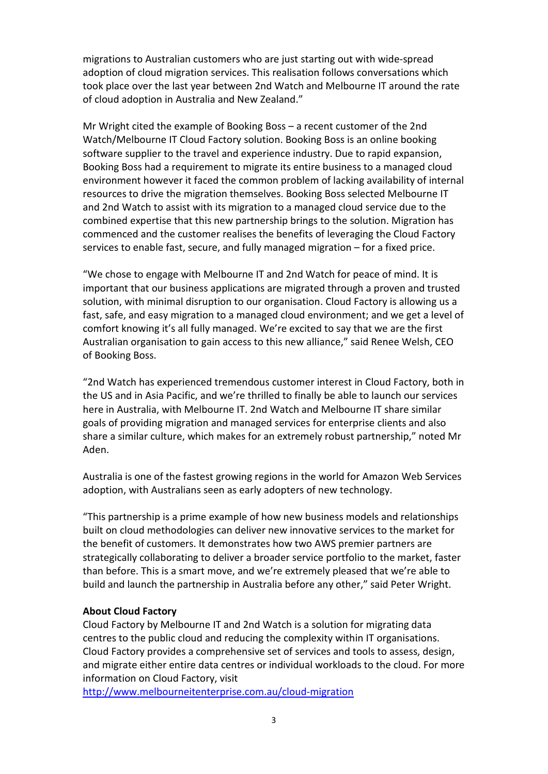migrations to Australian customers who are just starting out with wide-spread adoption of cloud migration services. This realisation follows conversations which took place over the last year between 2nd Watch and Melbourne IT around the rate of cloud adoption in Australia and New Zealand."

Mr Wright cited the example of Booking Boss – a recent customer of the 2nd Watch/Melbourne IT Cloud Factory solution. Booking Boss is an online booking software supplier to the travel and experience industry. Due to rapid expansion, Booking Boss had a requirement to migrate its entire business to a managed cloud environment however it faced the common problem of lacking availability of internal resources to drive the migration themselves. Booking Boss selected Melbourne IT and 2nd Watch to assist with its migration to a managed cloud service due to the combined expertise that this new partnership brings to the solution. Migration has commenced and the customer realises the benefits of leveraging the Cloud Factory services to enable fast, secure, and fully managed migration – for a fixed price.

"We chose to engage with Melbourne IT and 2nd Watch for peace of mind. It is important that our business applications are migrated through a proven and trusted solution, with minimal disruption to our organisation. Cloud Factory is allowing us a fast, safe, and easy migration to a managed cloud environment; and we get a level of comfort knowing it's all fully managed. We're excited to say that we are the first Australian organisation to gain access to this new alliance," said Renee Welsh, CEO of Booking Boss.

"2nd Watch has experienced tremendous customer interest in Cloud Factory, both in the US and in Asia Pacific, and we're thrilled to finally be able to launch our services here in Australia, with Melbourne IT. 2nd Watch and Melbourne IT share similar goals of providing migration and managed services for enterprise clients and also share a similar culture, which makes for an extremely robust partnership," noted Mr Aden.

Australia is one of the fastest growing regions in the world for Amazon Web Services adoption, with Australians seen as early adopters of new technology.

"This partnership is a prime example of how new business models and relationships built on cloud methodologies can deliver new innovative services to the market for the benefit of customers. It demonstrates how two AWS premier partners are strategically collaborating to deliver a broader service portfolio to the market, faster than before. This is a smart move, and we're extremely pleased that we're able to build and launch the partnership in Australia before any other," said Peter Wright.

#### **About Cloud Factory**

Cloud Factory by Melbourne IT and 2nd Watch is a solution for migrating data centres to the public cloud and reducing the complexity within IT organisations. Cloud Factory provides a comprehensive set of services and tools to assess, design, and migrate either entire data centres or individual workloads to the cloud. For more information on Cloud Factory, visit

<http://www.melbourneitenterprise.com.au/cloud-migration>